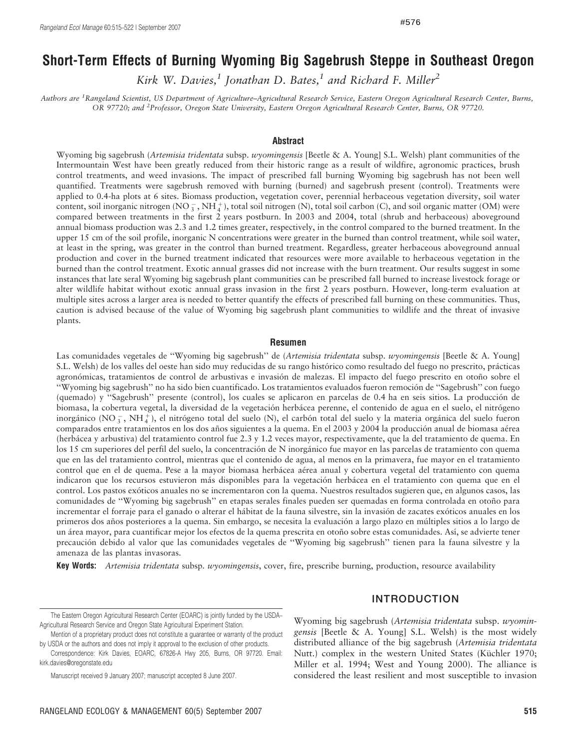# Short-Term Effects of Burning Wyoming Big Sagebrush Steppe in Southeast Oregon

Kirk W. Davies,<sup>1</sup> Jonathan D. Bates,<sup>1</sup> and Richard F. Miller<sup>2</sup>

Authors are <sup>1</sup>Rangeland Scientist, US Department of Agriculture–Agricultural Research Service, Eastern Oregon Agricultural Research Center, Burns, OR 97720; and <sup>2</sup>Professor, Oregon State University, Eastern Oregon Agricultural Research Center, Burns, OR 97720.

#### Abstract

Wyoming big sagebrush (Artemisia tridentata subsp. wyomingensis [Beetle & A. Young] S.L. Welsh) plant communities of the Intermountain West have been greatly reduced from their historic range as a result of wildfire, agronomic practices, brush control treatments, and weed invasions. The impact of prescribed fall burning Wyoming big sagebrush has not been well quantified. Treatments were sagebrush removed with burning (burned) and sagebrush present (control). Treatments were applied to 0.4-ha plots at 6 sites. Biomass production, vegetation cover, perennial herbaceous vegetation diversity, soil water content, soil inorganic nitrogen (NO $_3^-$ , NH $_4^+$ ), total soil nitrogen (N), total soil carbon (C), and soil organic matter (OM) were compared between treatments in the first 2 years postburn. In 2003 and 2004, total (shrub and herbaceous) aboveground annual biomass production was 2.3 and 1.2 times greater, respectively, in the control compared to the burned treatment. In the upper 15 cm of the soil profile, inorganic N concentrations were greater in the burned than control treatment, while soil water, at least in the spring, was greater in the control than burned treatment. Regardless, greater herbaceous aboveground annual production and cover in the burned treatment indicated that resources were more available to herbaceous vegetation in the burned than the control treatment. Exotic annual grasses did not increase with the burn treatment. Our results suggest in some instances that late seral Wyoming big sagebrush plant communities can be prescribed fall burned to increase livestock forage or alter wildlife habitat without exotic annual grass invasion in the first 2 years postburn. However, long-term evaluation at multiple sites across a larger area is needed to better quantify the effects of prescribed fall burning on these communities. Thus, caution is advised because of the value of Wyoming big sagebrush plant communities to wildlife and the threat of invasive plants.

#### Resumen

Las comunidades vegetales de "Wyoming big sagebrush" de *(Artemisia tridentata subsp. wyomingensis* [Beetle & A. Young] S.L. Welsh) de los valles del oeste han sido muy reducidas de su rango histórico como resultado del fuego no prescrito, prácticas agronómicas, tratamientos de control de arbustivas e invasión de malezas. El impacto del fuego prescrito en otoño sobre el ''Wyoming big sagebrush'' no ha sido bien cuantificado. Los tratamientos evaluados fueron remocio´n de ''Sagebrush'' con fuego (quemado) y "Sagebrush" presente (control), los cuales se aplicaron en parcelas de 0.4 ha en seis sitios. La producción de biomasa, la cobertura vegetal, la diversidad de la vegetación herbácea perenne, el contenido de agua en el suelo, el nitrógeno inorgánico (NO $_3^-$ , NH $_4^+$ ), el nitrógeno total del suelo (N), el carbón total del suelo y la materia orgánica del suelo fueron comparados entre tratamientos en los dos años siguientes a la quema. En el 2003 y 2004 la producción anual de biomasa aérea (herba´cea y arbustiva) del tratamiento control fue 2.3 y 1.2 veces mayor, respectivamente, que la del tratamiento de quema. En los 15 cm superiores del perfil del suelo, la concentración de N inorgánico fue mayor en las parcelas de tratamiento con quema que en las del tratamiento control, mientras que el contenido de agua, al menos en la primavera, fue mayor en el tratamiento control que en el de quema. Pese a la mayor biomasa herbácea aérea anual y cobertura vegetal del tratamiento con quema indicaron que los recursos estuvieron más disponibles para la vegetación herbácea en el tratamiento con quema que en el control. Los pastos exóticos anuales no se incrementaron con la quema. Nuestros resultados sugieren que, en algunos casos, las comunidades de "Wyoming big sagebrush" en etapas serales finales pueden ser quemadas en forma controlada en otoño para incrementar el forraje para el ganado o alterar el hábitat de la fauna silvestre, sin la invasión de zacates exóticos anuales en los primeros dos años posteriores a la quema. Sin embargo, se necesita la evaluación a largo plazo en múltiples sitios a lo largo de un área mayor, para cuantificar mejor los efectos de la quema prescrita en otoño sobre estas comunidades. Así, se advierte tener precaución debido al valor que las comunidades vegetales de "Wyoming big sagebrush" tienen para la fauna silvestre y la amenaza de las plantas invasoras.

Key Words: Artemisia tridentata subsp. wyomingensis, cover, fire, prescribe burning, production, resource availability

### INTRODUCTION

Mention of a proprietary product does not constitute a guarantee or warranty of the product by USDA or the authors and does not imply it approval to the exclusion of other products.

Wyoming big sagebrush (Artemisia tridentata subsp. wyomingensis [Beetle & A. Young] S.L. Welsh) is the most widely distributed alliance of the big sagebrush (Artemisia tridentata Nutt.) complex in the western United States (Küchler 1970; Miller et al. 1994; West and Young 2000). The alliance is considered the least resilient and most susceptible to invasion

The Eastern Oregon Agricultural Research Center (EOARC) is jointly funded by the USDA– Agricultural Research Service and Oregon State Agricultural Experiment Station.

Correspondence: Kirk Davies, EOARC, 67826-A Hwy 205, Burns, OR 97720. Email: kirk.davies@oregonstate.edu

Manuscript received 9 January 2007; manuscript accepted 8 June 2007.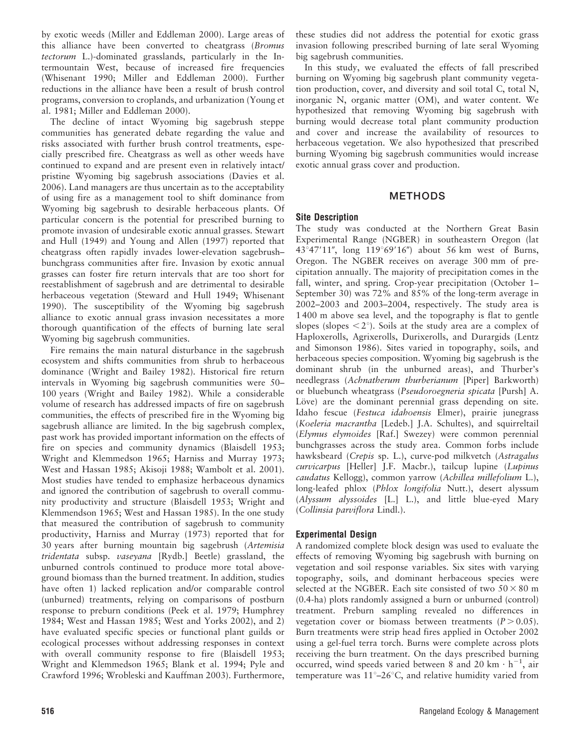by exotic weeds (Miller and Eddleman 2000). Large areas of this alliance have been converted to cheatgrass (Bromus tectorum L.)-dominated grasslands, particularly in the Intermountain West, because of increased fire frequencies (Whisenant 1990; Miller and Eddleman 2000). Further reductions in the alliance have been a result of brush control programs, conversion to croplands, and urbanization (Young et al. 1981; Miller and Eddleman 2000).

The decline of intact Wyoming big sagebrush steppe communities has generated debate regarding the value and risks associated with further brush control treatments, especially prescribed fire. Cheatgrass as well as other weeds have continued to expand and are present even in relatively intact/ pristine Wyoming big sagebrush associations (Davies et al. 2006). Land managers are thus uncertain as to the acceptability of using fire as a management tool to shift dominance from Wyoming big sagebrush to desirable herbaceous plants. Of particular concern is the potential for prescribed burning to promote invasion of undesirable exotic annual grasses. Stewart and Hull (1949) and Young and Allen (1997) reported that cheatgrass often rapidly invades lower-elevation sagebrush– bunchgrass communities after fire. Invasion by exotic annual grasses can foster fire return intervals that are too short for reestablishment of sagebrush and are detrimental to desirable herbaceous vegetation (Steward and Hull 1949; Whisenant 1990). The susceptibility of the Wyoming big sagebrush alliance to exotic annual grass invasion necessitates a more thorough quantification of the effects of burning late seral Wyoming big sagebrush communities.

Fire remains the main natural disturbance in the sagebrush ecosystem and shifts communities from shrub to herbaceous dominance (Wright and Bailey 1982). Historical fire return intervals in Wyoming big sagebrush communities were 50– 100 years (Wright and Bailey 1982). While a considerable volume of research has addressed impacts of fire on sagebrush communities, the effects of prescribed fire in the Wyoming big sagebrush alliance are limited. In the big sagebrush complex, past work has provided important information on the effects of fire on species and community dynamics (Blaisdell 1953; Wright and Klemmedson 1965; Harniss and Murray 1973; West and Hassan 1985; Akisoji 1988; Wambolt et al. 2001). Most studies have tended to emphasize herbaceous dynamics and ignored the contribution of sagebrush to overall community productivity and structure (Blaisdell 1953; Wright and Klemmendson 1965; West and Hassan 1985). In the one study that measured the contribution of sagebrush to community productivity, Harniss and Murray (1973) reported that for 30 years after burning mountain big sagebrush (Artemisia tridentata subsp. vaseyana [Rydb.] Beetle) grassland, the unburned controls continued to produce more total aboveground biomass than the burned treatment. In addition, studies have often 1) lacked replication and/or comparable control (unburned) treatments, relying on comparisons of postburn response to preburn conditions (Peek et al. 1979; Humphrey 1984; West and Hassan 1985; West and Yorks 2002), and 2) have evaluated specific species or functional plant guilds or ecological processes without addressing responses in context with overall community response to fire (Blaisdell 1953; Wright and Klemmedson 1965; Blank et al. 1994; Pyle and Crawford 1996; Wrobleski and Kauffman 2003). Furthermore,

these studies did not address the potential for exotic grass invasion following prescribed burning of late seral Wyoming big sagebrush communities.

In this study, we evaluated the effects of fall prescribed burning on Wyoming big sagebrush plant community vegetation production, cover, and diversity and soil total C, total N, inorganic N, organic matter (OM), and water content. We hypothesized that removing Wyoming big sagebrush with burning would decrease total plant community production and cover and increase the availability of resources to herbaceous vegetation. We also hypothesized that prescribed burning Wyoming big sagebrush communities would increase exotic annual grass cover and production.

# METHODS

# Site Description

The study was conducted at the Northern Great Basin Experimental Range (NGBER) in southeastern Oregon (lat 43°47′11″, long 119°69′16″) about 56 km west of Burns, Oregon. The NGBER receives on average 300 mm of precipitation annually. The majority of precipitation comes in the fall, winter, and spring. Crop-year precipitation (October 1– September 30) was 72% and 85% of the long-term average in 2002–2003 and 2003–2004, respectively. The study area is 1 400 m above sea level, and the topography is flat to gentle slopes (slopes  $\langle 2^{\circ} \rangle$ ). Soils at the study area are a complex of Haploxerolls, Agrixerolls, Durixerolls, and Durargids (Lentz and Simonson 1986). Sites varied in topography, soils, and herbaceous species composition. Wyoming big sagebrush is the dominant shrub (in the unburned areas), and Thurber's needlegrass (Achnatherum thurberianum [Piper] Barkworth) or bluebunch wheatgrass (Pseudoroegneria spicata [Pursh] A. Löve) are the dominant perennial grass depending on site. Idaho fescue (Festuca idahoensis Elmer), prairie junegrass (Koeleria macrantha [Ledeb.] J.A. Schultes), and squirreltail (Elymus elymoides [Raf.] Swezey) were common perennial bunchgrasses across the study area. Common forbs include hawksbeard (Crepis sp. L.), curve-pod milkvetch (Astragalus curvicarpus [Heller] J.F. Macbr.), tailcup lupine (Lupinus caudatus Kellogg), common yarrow (Achillea millefolium L.), long-leafed phlox (Phlox longifolia Nutt.), desert alyssum (Alyssum alyssoides [L.] L.), and little blue-eyed Mary (Collinsia parviflora Lindl.).

# Experimental Design

A randomized complete block design was used to evaluate the effects of removing Wyoming big sagebrush with burning on vegetation and soil response variables. Six sites with varying topography, soils, and dominant herbaceous species were selected at the NGBER. Each site consisted of two  $50 \times 80$  m (0.4-ha) plots randomly assigned a burn or unburned (control) treatment. Preburn sampling revealed no differences in vegetation cover or biomass between treatments  $(P > 0.05)$ . Burn treatments were strip head fires applied in October 2002 using a gel-fuel terra torch. Burns were complete across plots receiving the burn treatment. On the days prescribed burning occurred, wind speeds varied between 8 and 20 km  $\cdot$  h<sup>-1</sup>, air temperature was  $11^{\circ}-26^{\circ}$ C, and relative humidity varied from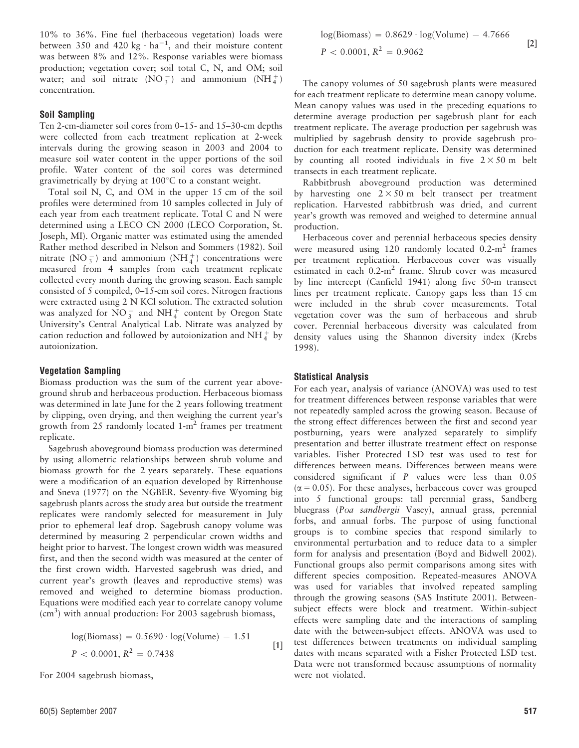10% to 36%. Fine fuel (herbaceous vegetation) loads were between 350 and 420 kg  $\cdot$  ha<sup>-1</sup>, and their moisture content was between 8% and 12%. Response variables were biomass production; vegetation cover; soil total C, N, and OM; soil water; and soil nitrate  $(NO_3^-)$  and ammonium  $(NH_4^+)$ concentration.

### Soil Sampling

Ten 2-cm-diameter soil cores from 0–15- and 15–30-cm depths were collected from each treatment replication at 2-week intervals during the growing season in 2003 and 2004 to measure soil water content in the upper portions of the soil profile. Water content of the soil cores was determined gravimetrically by drying at  $100^{\circ}$ C to a constant weight.

Total soil N, C, and OM in the upper 15 cm of the soil profiles were determined from 10 samples collected in July of each year from each treatment replicate. Total C and N were determined using a LECO CN 2000 (LECO Corporation, St. Joseph, MI). Organic matter was estimated using the amended Rather method described in Nelson and Sommers (1982). Soil nitrate (NO $_3^-$ ) and ammonium (NH $_4^+$ ) concentrations were measured from 4 samples from each treatment replicate collected every month during the growing season. Each sample consisted of 5 compiled, 0–15-cm soil cores. Nitrogen fractions were extracted using 2 N KCl solution. The extracted solution was analyzed for  $\overline{NO_3^-}$  and  $\overline{NH_4^+}$  content by Oregon State University's Central Analytical Lab. Nitrate was analyzed by cation reduction and followed by autoionization and  $NH_4^+$  by autoionization.

#### Vegetation Sampling

Biomass production was the sum of the current year aboveground shrub and herbaceous production. Herbaceous biomass was determined in late June for the 2 years following treatment by clipping, oven drying, and then weighing the current year's growth from 25 randomly located  $1-m^2$  frames per treatment replicate.

Sagebrush aboveground biomass production was determined by using allometric relationships between shrub volume and biomass growth for the 2 years separately. These equations were a modification of an equation developed by Rittenhouse and Sneva (1977) on the NGBER. Seventy-five Wyoming big sagebrush plants across the study area but outside the treatment replicates were randomly selected for measurement in July prior to ephemeral leaf drop. Sagebrush canopy volume was determined by measuring 2 perpendicular crown widths and height prior to harvest. The longest crown width was measured first, and then the second width was measured at the center of the first crown width. Harvested sagebrush was dried, and current year's growth (leaves and reproductive stems) was removed and weighed to determine biomass production. Equations were modified each year to correlate canopy volume  $\text{cm}^3$ ) with annual production: For 2003 sagebrush biomass,

$$
log(Biomass) = 0.5690 \cdot log(Volume) - 1.51
$$
  

$$
P < 0.0001, R^2 = 0.7438
$$
 [1]

For 2004 sagebrush biomass,

$$
log(Biomass) = 0.8629 \cdot log(Volume) - 4.7666
$$
  
[2]  

$$
P < 0.0001, R^2 = 0.9062
$$

The canopy volumes of 50 sagebrush plants were measured for each treatment replicate to determine mean canopy volume. Mean canopy values was used in the preceding equations to determine average production per sagebrush plant for each treatment replicate. The average production per sagebrush was multiplied by sagebrush density to provide sagebrush production for each treatment replicate. Density was determined by counting all rooted individuals in five  $2 \times 50$  m belt transects in each treatment replicate.

Rabbitbrush aboveground production was determined by harvesting one  $2 \times 50$  m belt transect per treatment replication. Harvested rabbitbrush was dried, and current year's growth was removed and weighed to determine annual production.

Herbaceous cover and perennial herbaceous species density were measured using 120 randomly located  $0.2\text{-m}^2$  frames per treatment replication. Herbaceous cover was visually estimated in each  $0.2\text{-m}^2$  frame. Shrub cover was measured by line intercept (Canfield 1941) along five 50-m transect lines per treatment replicate. Canopy gaps less than 15 cm were included in the shrub cover measurements. Total vegetation cover was the sum of herbaceous and shrub cover. Perennial herbaceous diversity was calculated from density values using the Shannon diversity index (Krebs 1998).

#### Statistical Analysis

For each year, analysis of variance (ANOVA) was used to test for treatment differences between response variables that were not repeatedly sampled across the growing season. Because of the strong effect differences between the first and second year postburning, years were analyzed separately to simplify presentation and better illustrate treatment effect on response variables. Fisher Protected LSD test was used to test for differences between means. Differences between means were considered significant if P values were less than 0.05  $(\alpha = 0.05)$ . For these analyses, herbaceous cover was grouped into 5 functional groups: tall perennial grass, Sandberg bluegrass (Poa sandbergii Vasey), annual grass, perennial forbs, and annual forbs. The purpose of using functional groups is to combine species that respond similarly to environmental perturbation and to reduce data to a simpler form for analysis and presentation (Boyd and Bidwell 2002). Functional groups also permit comparisons among sites with different species composition. Repeated-measures ANOVA was used for variables that involved repeated sampling through the growing seasons (SAS Institute 2001). Betweensubject effects were block and treatment. Within-subject effects were sampling date and the interactions of sampling date with the between-subject effects. ANOVA was used to test differences between treatments on individual sampling dates with means separated with a Fisher Protected LSD test. Data were not transformed because assumptions of normality were not violated.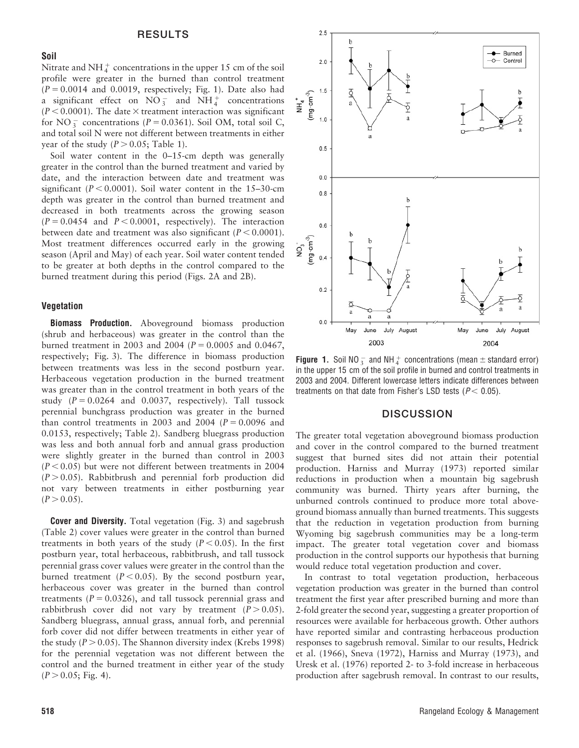### Soil

Nitrate and NH $_4^+$  concentrations in the upper 15 cm of the soil profile were greater in the burned than control treatment  $(P = 0.0014$  and 0.0019, respectively; Fig. 1). Date also had a significant effect on  $\overline{NO_3^-}$  and  $\overline{NH_4^+}$  concentrations  $(P < 0.0001)$ . The date  $\times$  treatment interaction was significant for NO<sub>3</sub> concentrations ( $P = 0.0361$ ). Soil OM, total soil C, and total soil N were not different between treatments in either year of the study  $(P > 0.05$ ; Table 1).

Soil water content in the 0–15-cm depth was generally greater in the control than the burned treatment and varied by date, and the interaction between date and treatment was significant ( $P < 0.0001$ ). Soil water content in the 15–30-cm depth was greater in the control than burned treatment and decreased in both treatments across the growing season  $(P = 0.0454$  and  $P < 0.0001$ , respectively). The interaction between date and treatment was also significant ( $P < 0.0001$ ). Most treatment differences occurred early in the growing season (April and May) of each year. Soil water content tended to be greater at both depths in the control compared to the burned treatment during this period (Figs. 2A and 2B).

#### Vegetation

Biomass Production. Aboveground biomass production (shrub and herbaceous) was greater in the control than the burned treatment in 2003 and 2004 ( $P = 0.0005$  and 0.0467, respectively; Fig. 3). The difference in biomass production between treatments was less in the second postburn year. Herbaceous vegetation production in the burned treatment was greater than in the control treatment in both years of the study  $(P = 0.0264$  and 0.0037, respectively). Tall tussock perennial bunchgrass production was greater in the burned than control treatments in 2003 and 2004 ( $P = 0.0096$  and 0.0153, respectively; Table 2). Sandberg bluegrass production was less and both annual forb and annual grass production were slightly greater in the burned than control in 2003  $(P < 0.05)$  but were not different between treatments in 2004  $(P > 0.05)$ . Rabbitbrush and perennial forb production did not vary between treatments in either postburning year  $(P > 0.05)$ .

**Cover and Diversity.** Total vegetation (Fig. 3) and sagebrush (Table 2) cover values were greater in the control than burned treatments in both years of the study  $(P < 0.05)$ . In the first postburn year, total herbaceous, rabbitbrush, and tall tussock perennial grass cover values were greater in the control than the burned treatment ( $P < 0.05$ ). By the second postburn year, herbaceous cover was greater in the burned than control treatments  $(P = 0.0326)$ , and tall tussock perennial grass and rabbitbrush cover did not vary by treatment  $(P > 0.05)$ . Sandberg bluegrass, annual grass, annual forb, and perennial forb cover did not differ between treatments in either year of the study ( $P > 0.05$ ). The Shannon diversity index (Krebs 1998) for the perennial vegetation was not different between the control and the burned treatment in either year of the study  $(P > 0.05; Fig. 4)$ .



**Figure 1.** Soil NO<sub>3</sub> and NH $_4^+$  concentrations (mean  $\pm$  standard error) in the upper 15 cm of the soil profile in burned and control treatments in 2003 and 2004. Different lowercase letters indicate differences between treatments on that date from Fisher's LSD tests ( $P < 0.05$ ).

### **DISCUSSION**

The greater total vegetation aboveground biomass production and cover in the control compared to the burned treatment suggest that burned sites did not attain their potential production. Harniss and Murray (1973) reported similar reductions in production when a mountain big sagebrush community was burned. Thirty years after burning, the unburned controls continued to produce more total aboveground biomass annually than burned treatments. This suggests that the reduction in vegetation production from burning Wyoming big sagebrush communities may be a long-term impact. The greater total vegetation cover and biomass production in the control supports our hypothesis that burning would reduce total vegetation production and cover.

In contrast to total vegetation production, herbaceous vegetation production was greater in the burned than control treatment the first year after prescribed burning and more than 2-fold greater the second year, suggesting a greater proportion of resources were available for herbaceous growth. Other authors have reported similar and contrasting herbaceous production responses to sagebrush removal. Similar to our results, Hedrick et al. (1966), Sneva (1972), Harniss and Murray (1973), and Uresk et al. (1976) reported 2- to 3-fold increase in herbaceous production after sagebrush removal. In contrast to our results,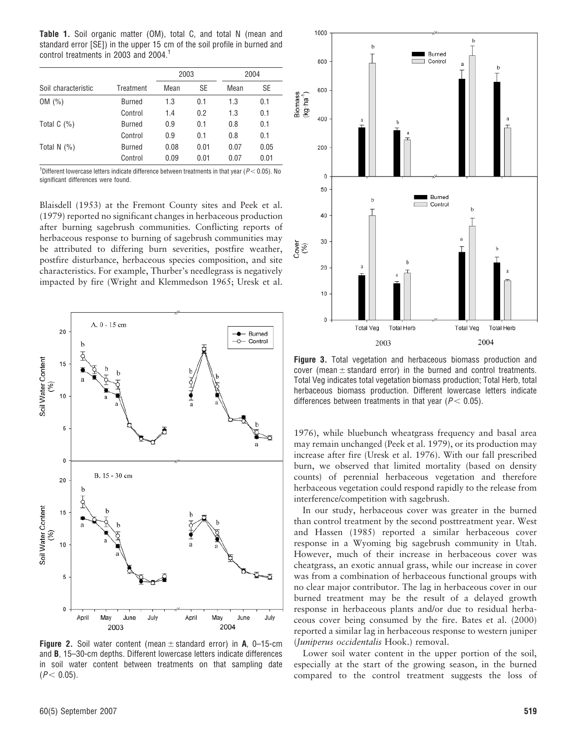Table 1. Soil organic matter (OM), total C, and total N (mean and standard error [SE]) in the upper 15 cm of the soil profile in burned and control treatments in 2003 and 2004.<sup>1</sup>

|                     |               | 2003 |      | 2004 |      |  |
|---------------------|---------------|------|------|------|------|--|
| Soil characteristic | Treatment     | Mean | SE   | Mean | SE   |  |
| OM (%)              | <b>Burned</b> | 1.3  | 0.1  | 1.3  | 0.1  |  |
|                     | Control       | 1.4  | 0.2  | 1.3  | 0.1  |  |
| Total $C(\%)$       | <b>Burned</b> | 0.9  | 0.1  | 0.8  | 0.1  |  |
|                     | Control       | 0.9  | 0.1  | 0.8  | 0.1  |  |
| Total N $(%)$       | <b>Burned</b> | 0.08 | 0.01 | 0.07 | 0.05 |  |
|                     | Control       | 0.09 | 0.01 | 0.07 | 0.01 |  |

<sup>1</sup>Different lowercase letters indicate difference between treatments in that year ( $P$  < 0.05). No significant differences were found.

Blaisdell (1953) at the Fremont County sites and Peek et al. (1979) reported no significant changes in herbaceous production after burning sagebrush communities. Conflicting reports of herbaceous response to burning of sagebrush communities may be attributed to differing burn severities, postfire weather, postfire disturbance, herbaceous species composition, and site characteristics. For example, Thurber's needlegrass is negatively impacted by fire (Wright and Klemmedson 1965; Uresk et al.



**Figure 2.** Soil water content (mean  $\pm$  standard error) in A, 0–15-cm and B, 15–30-cm depths. Different lowercase letters indicate differences in soil water content between treatments on that sampling date  $(P < 0.05)$ .



Figure 3. Total vegetation and herbaceous biomass production and cover (mean  $\pm$  standard error) in the burned and control treatments. Total Veg indicates total vegetation biomass production; Total Herb, total herbaceous biomass production. Different lowercase letters indicate differences between treatments in that year ( $P < 0.05$ ).

1976), while bluebunch wheatgrass frequency and basal area may remain unchanged (Peek et al. 1979), or its production may increase after fire (Uresk et al. 1976). With our fall prescribed burn, we observed that limited mortality (based on density counts) of perennial herbaceous vegetation and therefore herbaceous vegetation could respond rapidly to the release from interference/competition with sagebrush.

In our study, herbaceous cover was greater in the burned than control treatment by the second posttreatment year. West and Hassen (1985) reported a similar herbaceous cover response in a Wyoming big sagebrush community in Utah. However, much of their increase in herbaceous cover was cheatgrass, an exotic annual grass, while our increase in cover was from a combination of herbaceous functional groups with no clear major contributor. The lag in herbaceous cover in our burned treatment may be the result of a delayed growth response in herbaceous plants and/or due to residual herbaceous cover being consumed by the fire. Bates et al. (2000) reported a similar lag in herbaceous response to western juniper (Juniperus occidentalis Hook.) removal.

Lower soil water content in the upper portion of the soil, especially at the start of the growing season, in the burned compared to the control treatment suggests the loss of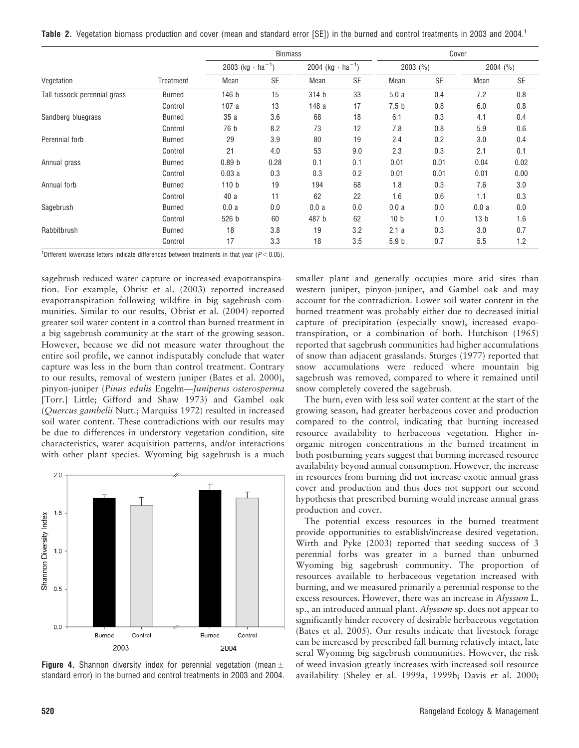Table 2. Vegetation biomass production and cover (mean and standard error [SE]) in the burned and control treatments in 2003 and 2004.

| Vegetation                   | Treatment     | <b>Biomass</b>                      |           |                                     |           | Cover            |           |                 |           |
|------------------------------|---------------|-------------------------------------|-----------|-------------------------------------|-----------|------------------|-----------|-----------------|-----------|
|                              |               | 2003 (kg $\cdot$ ha <sup>-1</sup> ) |           | 2004 (kg $\cdot$ ha <sup>-1</sup> ) |           | $2003$ (%)       |           | 2004 (%)        |           |
|                              |               | Mean                                | <b>SE</b> | Mean                                | <b>SE</b> | Mean             | <b>SE</b> | Mean            | <b>SE</b> |
| Tall tussock perennial grass | <b>Burned</b> | 146 b                               | 15        | 314 b                               | 33        | 5.0a             | 0.4       | 7.2             | 0.8       |
|                              | Control       | 107a                                | 13        | 148 a                               | 17        | 7.5 <sub>b</sub> | 0.8       | 6.0             | 0.8       |
| Sandberg bluegrass           | <b>Burned</b> | 35a                                 | 3.6       | 68                                  | 18        | 6.1              | 0.3       | 4.1             | 0.4       |
|                              | Control       | 76 b                                | 8.2       | 73                                  | 12        | 7.8              | 0.8       | 5.9             | 0.6       |
| Perennial forb               | <b>Burned</b> | 29                                  | 3.9       | 80                                  | 19        | 2.4              | 0.2       | 3.0             | 0.4       |
|                              | Control       | 21                                  | 4.0       | 53                                  | 9.0       | 2.3              | 0.3       | 2.1             | 0.1       |
| Annual grass                 | <b>Burned</b> | 0.89 <sub>b</sub>                   | 0.28      | 0.1                                 | 0.1       | 0.01             | 0.01      | 0.04            | 0.02      |
|                              | Control       | 0.03a                               | 0.3       | 0.3                                 | 0.2       | 0.01             | 0.01      | 0.01            | 0.00      |
| Annual forb                  | <b>Burned</b> | 110 <sub>b</sub>                    | 19        | 194                                 | 68        | 1.8              | 0.3       | 7.6             | 3.0       |
|                              | Control       | 40 a                                | 11        | 62                                  | 22        | 1.6              | 0.6       | 1.1             | 0.3       |
| Sagebrush                    | <b>Burned</b> | 0.0a                                | 0.0       | 0.0a                                | 0.0       | 0.0a             | 0.0       | 0.0a            | 0.0       |
|                              | Control       | 526 b                               | 60        | 487 b                               | 62        | 10 <sub>b</sub>  | 1.0       | 13 <sub>b</sub> | 1.6       |
| Rabbitbrush                  | <b>Burned</b> | 18                                  | 3.8       | 19                                  | 3.2       | 2.1a             | 0.3       | 3.0             | 0.7       |
|                              | Control       | 17                                  | 3.3       | 18                                  | 3.5       | 5.9 <sub>b</sub> | 0.7       | 5.5             | 1.2       |

<sup>1</sup>Different lowercase letters indicate differences between treatments in that year ( $P < 0.05$ ).

sagebrush reduced water capture or increased evapotranspiration. For example, Obrist et al. (2003) reported increased evapotranspiration following wildfire in big sagebrush communities. Similar to our results, Obrist et al. (2004) reported greater soil water content in a control than burned treatment in a big sagebrush community at the start of the growing season. However, because we did not measure water throughout the entire soil profile, we cannot indisputably conclude that water capture was less in the burn than control treatment. Contrary to our results, removal of western juniper (Bates et al. 2000), pinyon-juniper (Pinus edulis Engelm—Juniperus osterosperma [Torr.] Little; Gifford and Shaw 1973) and Gambel oak (Quercus gambelii Nutt.; Marquiss 1972) resulted in increased soil water content. These contradictions with our results may be due to differences in understory vegetation condition, site characteristics, water acquisition patterns, and/or interactions with other plant species. Wyoming big sagebrush is a much



**Figure 4.** Shannon diversity index for perennial vegetation (mean  $\pm$ standard error) in the burned and control treatments in 2003 and 2004.

smaller plant and generally occupies more arid sites than western juniper, pinyon-juniper, and Gambel oak and may account for the contradiction. Lower soil water content in the burned treatment was probably either due to decreased initial capture of precipitation (especially snow), increased evapotranspiration, or a combination of both. Hutchison (1965) reported that sagebrush communities had higher accumulations of snow than adjacent grasslands. Sturges (1977) reported that snow accumulations were reduced where mountain big sagebrush was removed, compared to where it remained until snow completely covered the sagebrush.

The burn, even with less soil water content at the start of the growing season, had greater herbaceous cover and production compared to the control, indicating that burning increased resource availability to herbaceous vegetation. Higher inorganic nitrogen concentrations in the burned treatment in both postburning years suggest that burning increased resource availability beyond annual consumption. However, the increase in resources from burning did not increase exotic annual grass cover and production and thus does not support our second hypothesis that prescribed burning would increase annual grass production and cover.

The potential excess resources in the burned treatment provide opportunities to establish/increase desired vegetation. Wirth and Pyke (2003) reported that seeding success of 3 perennial forbs was greater in a burned than unburned Wyoming big sagebrush community. The proportion of resources available to herbaceous vegetation increased with burning, and we measured primarily a perennial response to the excess resources. However, there was an increase in Alyssum L. sp., an introduced annual plant. Alyssum sp. does not appear to significantly hinder recovery of desirable herbaceous vegetation (Bates et al. 2005). Our results indicate that livestock forage can be increased by prescribed fall burning relatively intact, late seral Wyoming big sagebrush communities. However, the risk of weed invasion greatly increases with increased soil resource availability (Sheley et al. 1999a, 1999b; Davis et al. 2000;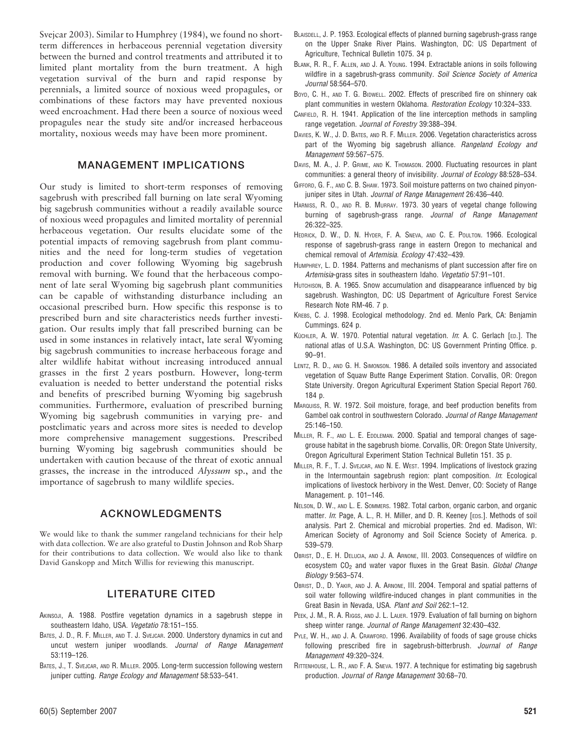Svejcar 2003). Similar to Humphrey (1984), we found no shortterm differences in herbaceous perennial vegetation diversity between the burned and control treatments and attributed it to limited plant mortality from the burn treatment. A high vegetation survival of the burn and rapid response by perennials, a limited source of noxious weed propagules, or combinations of these factors may have prevented noxious weed encroachment. Had there been a source of noxious weed propagules near the study site and/or increased herbaceous mortality, noxious weeds may have been more prominent.

# MANAGEMENT IMPLICATIONS

Our study is limited to short-term responses of removing sagebrush with prescribed fall burning on late seral Wyoming big sagebrush communities without a readily available source of noxious weed propagules and limited mortality of perennial herbaceous vegetation. Our results elucidate some of the potential impacts of removing sagebrush from plant communities and the need for long-term studies of vegetation production and cover following Wyoming big sagebrush removal with burning. We found that the herbaceous component of late seral Wyoming big sagebrush plant communities can be capable of withstanding disturbance including an occasional prescribed burn. How specific this response is to prescribed burn and site characteristics needs further investigation. Our results imply that fall prescribed burning can be used in some instances in relatively intact, late seral Wyoming big sagebrush communities to increase herbaceous forage and alter wildlife habitat without increasing introduced annual grasses in the first 2 years postburn. However, long-term evaluation is needed to better understand the potential risks and benefits of prescribed burning Wyoming big sagebrush communities. Furthermore, evaluation of prescribed burning Wyoming big sagebrush communities in varying pre- and postclimatic years and across more sites is needed to develop more comprehensive management suggestions. Prescribed burning Wyoming big sagebrush communities should be undertaken with caution because of the threat of exotic annual grasses, the increase in the introduced Alyssum sp., and the importance of sagebrush to many wildlife species.

# ACKNOWLEDGMENTS

We would like to thank the summer rangeland technicians for their help with data collection. We are also grateful to Dustin Johnson and Rob Sharp for their contributions to data collection. We would also like to thank David Ganskopp and Mitch Willis for reviewing this manuscript.

### LITERATURE CITED

- AKINSOJI, A. 1988. Postfire vegetation dynamics in a sagebrush steppe in southeastern Idaho, USA. Vegetatio 78:151–155.
- BATES, J. D., R. F. MILLER, AND T. J. SVEJCAR. 2000. Understory dynamics in cut and uncut western juniper woodlands. Journal of Range Management 53:119–126.
- BATES, J., T. SVEJCAR, AND R. MILLER. 2005. Long-term succession following western juniper cutting. Range Ecology and Management 58:533-541.
- BLAISDELL, J. P. 1953. Ecological effects of planned burning sagebrush-grass range on the Upper Snake River Plains. Washington, DC: US Department of Agriculture, Technical Bulletin 1075. 34 p.
- BLANK, R. R., F. ALLEN, AND J. A. YOUNG. 1994. Extractable anions in soils following wildfire in a sagebrush-grass community. Soil Science Society of America Journal 58:564–570.
- Boyd, C. H., AND T. G. BIDWELL. 2002. Effects of prescribed fire on shinnery oak plant communities in western Oklahoma. Restoration Ecology 10:324–333.
- CANFIELD, R. H. 1941. Application of the line interception methods in sampling range vegetation. Journal of Forestry 39:388–394.
- DAVIES, K. W., J. D. BATES, AND R. F. MILLER. 2006. Vegetation characteristics across part of the Wyoming big sagebrush alliance. Rangeland Ecology and Management 59:567–575.
- DAVIS, M. A., J. P. GRIME, AND K. THOMASON. 2000. Fluctuating resources in plant communities: a general theory of invisibility. Journal of Ecology 88:528–534.
- GIFFORD, G. F., AND C. B. SHAW. 1973. Soil moisture patterns on two chained pinyonjuniper sites in Utah. Journal of Range Management 26:436-440.
- HARNISS, R. O., AND R. B. MURRAY. 1973. 30 years of vegetal change following burning of sagebrush-grass range. Journal of Range Management 26:322–325.
- HEDRICK, D. W., D. N. HYDER, F. A. SNEVA, AND C. E. POULTON. 1966. Ecological response of sagebrush-grass range in eastern Oregon to mechanical and chemical removal of Artemisia. Ecology 47:432–439.
- HUMPHREY, L. D. 1984. Patterns and mechanisms of plant succession after fire on Artemisia-grass sites in southeastern Idaho. Vegetatio 57:91–101.
- HUTCHISON, B. A. 1965. Snow accumulation and disappearance influenced by big sagebrush. Washington, DC: US Department of Agriculture Forest Service Research Note RM-46. 7 p.
- KREBS, C. J. 1998. Ecological methodology. 2nd ed. Menlo Park, CA: Benjamin Cummings. 624 p.
- KÜCHLER, A. W. 1970. Potential natural vegetation. In: A. C. Gerlach [ED.]. The national atlas of U.S.A. Washington, DC: US Government Printing Office. p. 90–91.
- LENTZ, R. D., AND G. H. SIMONSON. 1986. A detailed soils inventory and associated vegetation of Squaw Butte Range Experiment Station. Corvallis, OR: Oregon State University. Oregon Agricultural Experiment Station Special Report 760. 184 p.
- MARQUISS, R. W. 1972. Soil moisture, forage, and beef production benefits from Gambel oak control in southwestern Colorado. Journal of Range Management 25:146–150.
- MILLER, R. F., AND L. E. EDDLEMAN. 2000. Spatial and temporal changes of sagegrouse habitat in the sagebrush biome. Corvallis, OR: Oregon State University, Oregon Agricultural Experiment Station Technical Bulletin 151. 35 p.
- MILLER, R. F., T. J. SVEJCAR, AND N. E. WEST. 1994. Implications of livestock grazing in the Intermountain sagebrush region: plant composition. In: Ecological implications of livestock herbivory in the West. Denver, CO: Society of Range Management. p. 101–146.
- NELSON, D. W., AND L. E. SOMMERS. 1982. Total carbon, organic carbon, and organic matter. In: Page, A. L., R. H. Miller, and D. R. Keeney [EDS.]. Methods of soil analysis. Part 2. Chemical and microbial properties. 2nd ed. Madison, WI: American Society of Agronomy and Soil Science Society of America. p. 539–579.
- OBRIST, D., E. H. DELUCIA, AND J. A. ARNONE, III. 2003. Consequences of wildfire on ecosystem  $CO<sub>2</sub>$  and water vapor fluxes in the Great Basin. Global Change Biology 9:563–574.
- OBRIST, D., D. YAKIR, AND J. A. ARNONE, III. 2004. Temporal and spatial patterns of soil water following wildfire-induced changes in plant communities in the Great Basin in Nevada, USA. Plant and Soil 262:1–12.
- PEEK, J. M., R. A. RIGGS, AND J. L. LAUER. 1979. Evaluation of fall burning on bighorn sheep winter range. Journal of Range Management 32:430–432.
- PYLE, W. H., AND J. A. CRAWFORD. 1996. Availability of foods of sage grouse chicks following prescribed fire in sagebrush-bitterbrush. Journal of Range Management 49:320–324.
- RITTENHOUSE, L. R., AND F. A. SNEVA. 1977. A technique for estimating big sagebrush production. Journal of Range Management 30:68–70.